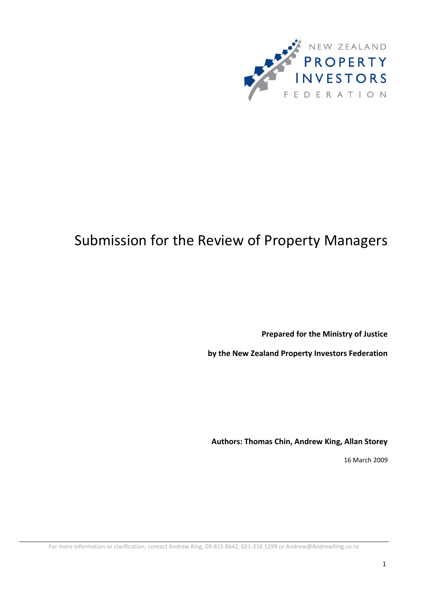

# Submission for the Review of Property Managers

**Prepared for the Ministry of Justice** 

**by the New Zealand Property Investors Federation**

**Authors: Thomas Chin, Andrew King, Allan Storey**

16 March 2009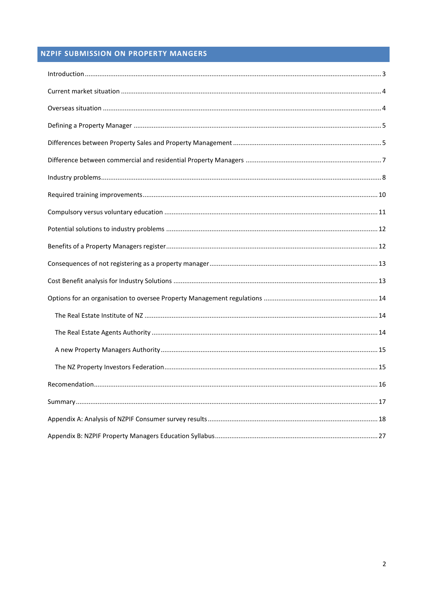# **NZPIF SUBMISSION ON PROPERTY MANGERS**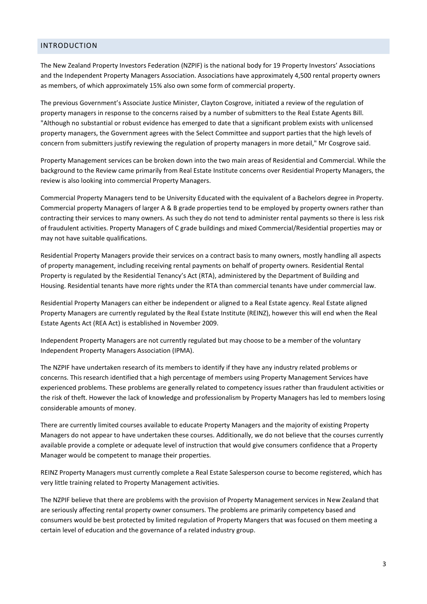# <span id="page-2-0"></span>INTRODUCTION

The New Zealand Property Investors Federation (NZPIF) is the national body for 19 Property Investors' Associations and the Independent Property Managers Association. Associations have approximately 4,500 rental property owners as members, of which approximately 15% also own some form of commercial property.

The previous Government's Associate Justice Minister, Clayton Cosgrove, initiated a review of the regulation of property managers in response to the concerns raised by a number of submitters to the Real Estate Agents Bill. "Although no substantial or robust evidence has emerged to date that a significant problem exists with unlicensed property managers, the Government agrees with the Select Committee and support parties that the high levels of concern from submitters justify reviewing the regulation of property managers in more detail," Mr Cosgrove said.

Property Management services can be broken down into the two main areas of Residential and Commercial. While the background to the Review came primarily from Real Estate Institute concerns over Residential Property Managers, the review is also looking into commercial Property Managers.

Commercial Property Managers tend to be University Educated with the equivalent of a Bachelors degree in Property. Commercial property Managers of larger A & B grade properties tend to be employed by property owners rather than contracting their services to many owners. As such they do not tend to administer rental payments so there is less risk of fraudulent activities. Property Managers of C grade buildings and mixed Commercial/Residential properties may or may not have suitable qualifications.

Residential Property Managers provide their services on a contract basis to many owners, mostly handling all aspects of property management, including receiving rental payments on behalf of property owners. Residential Rental Property is regulated by the Residential Tenancy's Act (RTA), administered by the Department of Building and Housing. Residential tenants have more rights under the RTA than commercial tenants have under commercial law.

Residential Property Managers can either be independent or aligned to a Real Estate agency. Real Estate aligned Property Managers are currently regulated by the Real Estate Institute (REINZ), however this will end when the Real Estate Agents Act (REA Act) is established in November 2009.

Independent Property Managers are not currently regulated but may choose to be a member of the voluntary Independent Property Managers Association (IPMA).

The NZPIF have undertaken research of its members to identify if they have any industry related problems or concerns. This research identified that a high percentage of members using Property Management Services have experienced problems. These problems are generally related to competency issues rather than fraudulent activities or the risk of theft. However the lack of knowledge and professionalism by Property Managers has led to members losing considerable amounts of money.

There are currently limited courses available to educate Property Managers and the majority of existing Property Managers do not appear to have undertaken these courses. Additionally, we do not believe that the courses currently available provide a complete or adequate level of instruction that would give consumers confidence that a Property Manager would be competent to manage their properties.

REINZ Property Managers must currently complete a Real Estate Salesperson course to become registered, which has very little training related to Property Management activities.

The NZPIF believe that there are problems with the provision of Property Management services in New Zealand that are seriously affecting rental property owner consumers. The problems are primarily competency based and consumers would be best protected by limited regulation of Property Mangers that was focused on them meeting a certain level of education and the governance of a related industry group.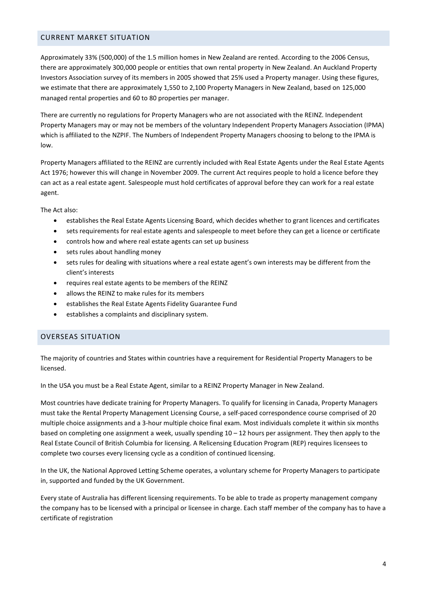# <span id="page-3-0"></span>CURRENT MARKET SITUATION

Approximately 33% (500,000) of the 1.5 million homes in New Zealand are rented. According to the 2006 Census, there are approximately 300,000 people or entities that own rental property in New Zealand. An Auckland Property Investors Association survey of its members in 2005 showed that 25% used a Property manager. Using these figures, we estimate that there are approximately 1,550 to 2,100 Property Managers in New Zealand, based on 125,000 managed rental properties and 60 to 80 properties per manager.

There are currently no regulations for Property Managers who are not associated with the REINZ. Independent Property Managers may or may not be members of the voluntary Independent Property Managers Association (IPMA) which is affiliated to the NZPIF. The Numbers of Independent Property Managers choosing to belong to the IPMA is low.

Property Managers affiliated to the REINZ are currently included with Real Estate Agents under the Real Estate Agents Act 1976; however this will change in November 2009. The current Act requires people to hold a licence before they can act as a real estate agent. Salespeople must hold certificates of approval before they can work for a real estate agent.

The Act also:

- establishes the Real Estate Agents Licensing Board, which decides whether to grant licences and certificates
- sets requirements for real estate agents and salespeople to meet before they can get a licence or certificate
- controls how and where real estate agents can set up business
- sets rules about handling money
- sets rules for dealing with situations where a real estate agent's own interests may be different from the client's interests
- requires real estate agents to be members of the REINZ
- allows the REINZ to make rules for its members
- establishes the Real Estate Agents Fidelity Guarantee Fund
- establishes a complaints and disciplinary system.

#### <span id="page-3-1"></span>OVERSEAS SITUATION

The majority of countries and States within countries have a requirement for Residential Property Managers to be licensed.

In the USA you must be a Real Estate Agent, similar to a REINZ Property Manager in New Zealand.

Most countries have dedicate training for Property Managers. To qualify for licensing in Canada, Property Managers must take the Rental Property Management Licensing Course, a self-paced correspondence course comprised of 20 multiple choice assignments and a 3-hour multiple choice final exam. Most individuals complete it within six months based on completing one assignment a week, usually spending  $10 - 12$  hours per assignment. They then apply to the Real Estate Council of British Columbia for licensing. A Relicensing Education Program (REP) requires licensees to complete two courses every licensing cycle as a condition of continued licensing.

In the UK, the National Approved Letting Scheme operates, a voluntary scheme for Property Managers to participate in, supported and funded by the UK Government.

Every state of Australia has different licensing requirements. To be able to trade as property management company the company has to be licensed with a principal or licensee in charge. Each staff member of the company has to have a certificate of registration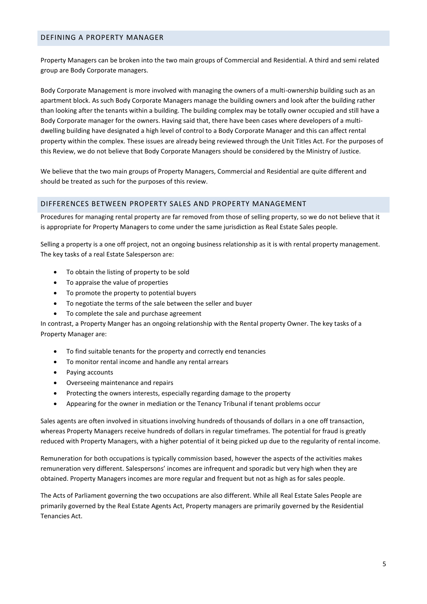### <span id="page-4-0"></span>DEFINING A PROPERTY MANAGER

Property Managers can be broken into the two main groups of Commercial and Residential. A third and semi related group are Body Corporate managers.

Body Corporate Management is more involved with managing the owners of a multi-ownership building such as an apartment block. As such Body Corporate Managers manage the building owners and look after the building rather than looking after the tenants within a building. The building complex may be totally owner occupied and still have a Body Corporate manager for the owners. Having said that, there have been cases where developers of a multidwelling building have designated a high level of control to a Body Corporate Manager and this can affect rental property within the complex. These issues are already being reviewed through the Unit Titles Act. For the purposes of this Review, we do not believe that Body Corporate Managers should be considered by the Ministry of Justice.

We believe that the two main groups of Property Managers, Commercial and Residential are quite different and should be treated as such for the purposes of this review.

# <span id="page-4-1"></span>DIFFERENCES BETWEEN PROPERTY SALES AND PROPERTY MANAGEMENT

Procedures for managing rental property are far removed from those of selling property, so we do not believe that it is appropriate for Property Managers to come under the same jurisdiction as Real Estate Sales people.

Selling a property is a one off project, not an ongoing business relationship as it is with rental property management. The key tasks of a real Estate Salesperson are:

- To obtain the listing of property to be sold
- To appraise the value of properties
- To promote the property to potential buyers
- To negotiate the terms of the sale between the seller and buyer
- To complete the sale and purchase agreement

In contrast, a Property Manger has an ongoing relationship with the Rental property Owner. The key tasks of a Property Manager are:

- To find suitable tenants for the property and correctly end tenancies
- To monitor rental income and handle any rental arrears
- Paying accounts
- Overseeing maintenance and repairs
- Protecting the owners interests, especially regarding damage to the property
- Appearing for the owner in mediation or the Tenancy Tribunal if tenant problems occur

Sales agents are often involved in situations involving hundreds of thousands of dollars in a one off transaction, whereas Property Managers receive hundreds of dollars in regular timeframes. The potential for fraud is greatly reduced with Property Managers, with a higher potential of it being picked up due to the regularity of rental income.

Remuneration for both occupations is typically commission based, however the aspects of the activities makes remuneration very different. Salespersons' incomes are infrequent and sporadic but very high when they are obtained. Property Managers incomes are more regular and frequent but not as high as for sales people.

The Acts of Parliament governing the two occupations are also different. While all Real Estate Sales People are primarily governed by the Real Estate Agents Act, Property managers are primarily governed by the Residential Tenancies Act.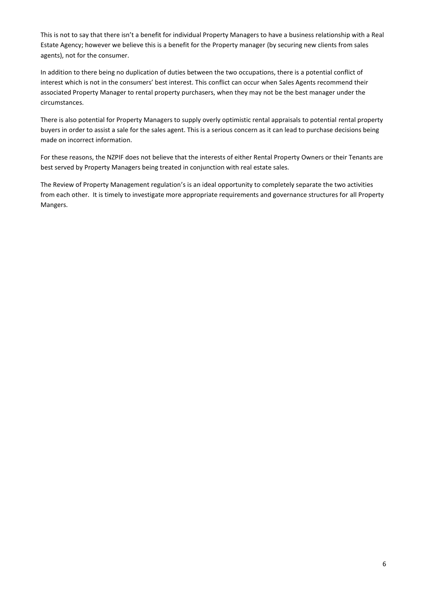This is not to say that there isn't a benefit for individual Property Managers to have a business relationship with a Real Estate Agency; however we believe this is a benefit for the Property manager (by securing new clients from sales agents), not for the consumer.

In addition to there being no duplication of duties between the two occupations, there is a potential conflict of interest which is not in the consumers' best interest. This conflict can occur when Sales Agents recommend their associated Property Manager to rental property purchasers, when they may not be the best manager under the circumstances.

There is also potential for Property Managers to supply overly optimistic rental appraisals to potential rental property buyers in order to assist a sale for the sales agent. This is a serious concern as it can lead to purchase decisions being made on incorrect information.

For these reasons, the NZPIF does not believe that the interests of either Rental Property Owners or their Tenants are best served by Property Managers being treated in conjunction with real estate sales.

The Review of Property Management regulation's is an ideal opportunity to completely separate the two activities from each other. It is timely to investigate more appropriate requirements and governance structures for all Property Mangers.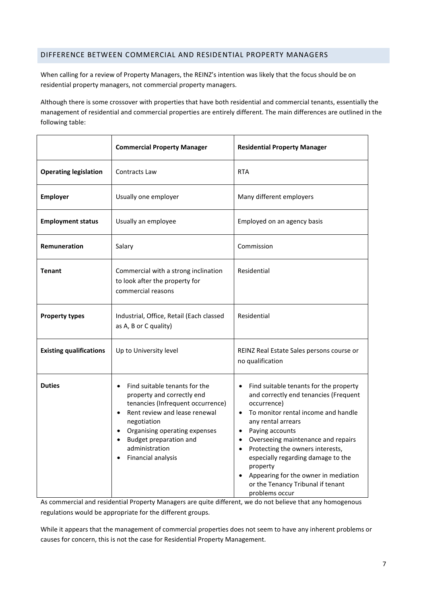# <span id="page-6-0"></span>DIFFERENCE BETWEEN COMMERCIAL AND RESIDENTIAL PROPERTY MANAGERS

When calling for a review of Property Managers, the REINZ's intention was likely that the focus should be on residential property managers, not commercial property managers.

Although there is some crossover with properties that have both residential and commercial tenants, essentially the management of residential and commercial properties are entirely different. The main differences are outlined in the following table:

|                                | <b>Commercial Property Manager</b>                                                                                                                                                                                                                                                                                   | <b>Residential Property Manager</b>                                                                                                                                                                                                                                                                                                                                                                                                                                        |
|--------------------------------|----------------------------------------------------------------------------------------------------------------------------------------------------------------------------------------------------------------------------------------------------------------------------------------------------------------------|----------------------------------------------------------------------------------------------------------------------------------------------------------------------------------------------------------------------------------------------------------------------------------------------------------------------------------------------------------------------------------------------------------------------------------------------------------------------------|
| <b>Operating legislation</b>   | Contracts Law                                                                                                                                                                                                                                                                                                        | <b>RTA</b>                                                                                                                                                                                                                                                                                                                                                                                                                                                                 |
| <b>Employer</b>                | Usually one employer                                                                                                                                                                                                                                                                                                 | Many different employers                                                                                                                                                                                                                                                                                                                                                                                                                                                   |
| <b>Employment status</b>       | Usually an employee                                                                                                                                                                                                                                                                                                  | Employed on an agency basis                                                                                                                                                                                                                                                                                                                                                                                                                                                |
| Remuneration                   | Salary                                                                                                                                                                                                                                                                                                               | Commission                                                                                                                                                                                                                                                                                                                                                                                                                                                                 |
| <b>Tenant</b>                  | Commercial with a strong inclination<br>to look after the property for<br>commercial reasons                                                                                                                                                                                                                         | Residential                                                                                                                                                                                                                                                                                                                                                                                                                                                                |
| <b>Property types</b>          | Industrial, Office, Retail (Each classed<br>as A, B or C quality)                                                                                                                                                                                                                                                    | Residential                                                                                                                                                                                                                                                                                                                                                                                                                                                                |
| <b>Existing qualifications</b> | Up to University level                                                                                                                                                                                                                                                                                               | REINZ Real Estate Sales persons course or<br>no qualification                                                                                                                                                                                                                                                                                                                                                                                                              |
| <b>Duties</b>                  | Find suitable tenants for the<br>$\bullet$<br>property and correctly end<br>tenancies (Infrequent occurrence)<br>Rent review and lease renewal<br>$\bullet$<br>negotiation<br>Organising operating expenses<br>$\bullet$<br>Budget preparation and<br>$\bullet$<br>administration<br>Financial analysis<br>$\bullet$ | Find suitable tenants for the property<br>and correctly end tenancies (Frequent<br>occurrence)<br>To monitor rental income and handle<br>$\bullet$<br>any rental arrears<br>Paying accounts<br>$\bullet$<br>Overseeing maintenance and repairs<br>$\bullet$<br>Protecting the owners interests,<br>$\bullet$<br>especially regarding damage to the<br>property<br>Appearing for the owner in mediation<br>$\bullet$<br>or the Tenancy Tribunal if tenant<br>problems occur |

As commercial and residential Property Managers are quite different, we do not believe that any homogenous regulations would be appropriate for the different groups.

While it appears that the management of commercial properties does not seem to have any inherent problems or causes for concern, this is not the case for Residential Property Management.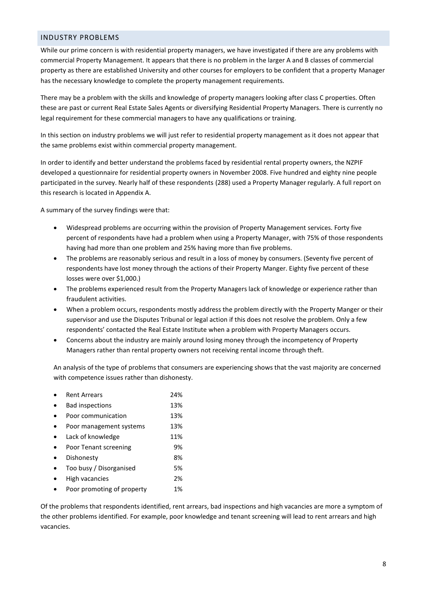### <span id="page-7-0"></span>INDUSTRY PROBLEMS

While our prime concern is with residential property managers, we have investigated if there are any problems with commercial Property Management. It appears that there is no problem in the larger A and B classes of commercial property as there are established University and other courses for employers to be confident that a property Manager has the necessary knowledge to complete the property management requirements.

There may be a problem with the skills and knowledge of property managers looking after class C properties. Often these are past or current Real Estate Sales Agents or diversifying Residential Property Managers. There is currently no legal requirement for these commercial managers to have any qualifications or training.

In this section on industry problems we will just refer to residential property management as it does not appear that the same problems exist within commercial property management.

In order to identify and better understand the problems faced by residential rental property owners, the NZPIF developed a questionnaire for residential property owners in November 2008. Five hundred and eighty nine people participated in the survey. Nearly half of these respondents (288) used a Property Manager regularly. A full report on this research is located in Appendix A.

A summary of the survey findings were that:

- Widespread problems are occurring within the provision of Property Management services. Forty five percent of respondents have had a problem when using a Property Manager, with 75% of those respondents having had more than one problem and 25% having more than five problems.
- The problems are reasonably serious and result in a loss of money by consumers. (Seventy five percent of respondents have lost money through the actions of their Property Manger. Eighty five percent of these losses were over \$1,000.)
- The problems experienced result from the Property Managers lack of knowledge or experience rather than fraudulent activities.
- When a problem occurs, respondents mostly address the problem directly with the Property Manger or their supervisor and use the Disputes Tribunal or legal action if this does not resolve the problem. Only a few respondents' contacted the Real Estate Institute when a problem with Property Managers occurs.
- Concerns about the industry are mainly around losing money through the incompetency of Property Managers rather than rental property owners not receiving rental income through theft.

An analysis of the type of problems that consumers are experiencing shows that the vast majority are concerned with competence issues rather than dishonesty.

| <b>Rent Arrears</b>        | 24% |
|----------------------------|-----|
| <b>Bad inspections</b>     | 13% |
| Poor communication         | 13% |
| Poor management systems    | 13% |
| Lack of knowledge          | 11% |
| Poor Tenant screening      | 9%  |
| Dishonesty                 | 8%  |
| Too busy / Disorganised    | 5%  |
| High vacancies             | 2%  |
| Poor promoting of property | 1%  |

Of the problems that respondents identified, rent arrears, bad inspections and high vacancies are more a symptom of the other problems identified. For example, poor knowledge and tenant screening will lead to rent arrears and high vacancies.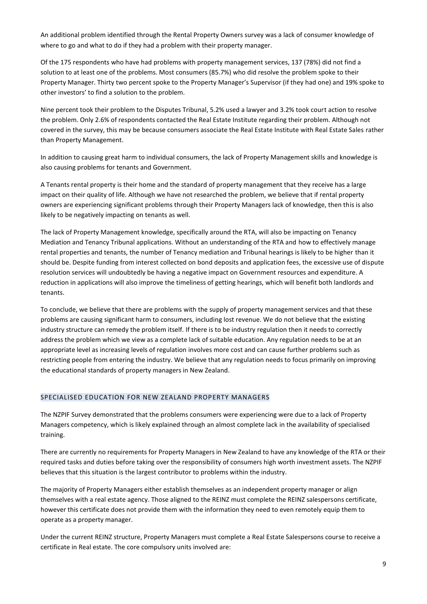An additional problem identified through the Rental Property Owners survey was a lack of consumer knowledge of where to go and what to do if they had a problem with their property manager.

Of the 175 respondents who have had problems with property management services, 137 (78%) did not find a solution to at least one of the problems. Most consumers (85.7%) who did resolve the problem spoke to their Property Manager. Thirty two percent spoke to the Property Manager's Supervisor (if they had one) and 19% spoke to other investors' to find a solution to the problem.

Nine percent took their problem to the Disputes Tribunal, 5.2% used a lawyer and 3.2% took court action to resolve the problem. Only 2.6% of respondents contacted the Real Estate Institute regarding their problem. Although not covered in the survey, this may be because consumers associate the Real Estate Institute with Real Estate Sales rather than Property Management.

In addition to causing great harm to individual consumers, the lack of Property Management skills and knowledge is also causing problems for tenants and Government.

A Tenants rental property is their home and the standard of property management that they receive has a large impact on their quality of life. Although we have not researched the problem, we believe that if rental property owners are experiencing significant problems through their Property Managers lack of knowledge, then this is also likely to be negatively impacting on tenants as well.

The lack of Property Management knowledge, specifically around the RTA, will also be impacting on Tenancy Mediation and Tenancy Tribunal applications. Without an understanding of the RTA and how to effectively manage rental properties and tenants, the number of Tenancy mediation and Tribunal hearings is likely to be higher than it should be. Despite funding from interest collected on bond deposits and application fees, the excessive use of dispute resolution services will undoubtedly be having a negative impact on Government resources and expenditure. A reduction in applications will also improve the timeliness of getting hearings, which will benefit both landlords and tenants.

To conclude, we believe that there are problems with the supply of property management services and that these problems are causing significant harm to consumers, including lost revenue. We do not believe that the existing industry structure can remedy the problem itself. If there is to be industry regulation then it needs to correctly address the problem which we view as a complete lack of suitable education. Any regulation needs to be at an appropriate level as increasing levels of regulation involves more cost and can cause further problems such as restricting people from entering the industry. We believe that any regulation needs to focus primarily on improving the educational standards of property managers in New Zealand.

#### SPECIALISED EDUCATION FOR NEW ZEALAND PROPERTY MANAGERS

The NZPIF Survey demonstrated that the problems consumers were experiencing were due to a lack of Property Managers competency, which is likely explained through an almost complete lack in the availability of specialised training.

There are currently no requirements for Property Managers in New Zealand to have any knowledge of the RTA or their required tasks and duties before taking over the responsibility of consumers high worth investment assets. The NZPIF believes that this situation is the largest contributor to problems within the industry.

The majority of Property Managers either establish themselves as an independent property manager or align themselves with a real estate agency. Those aligned to the REINZ must complete the REINZ salespersons certificate, however this certificate does not provide them with the information they need to even remotely equip them to operate as a property manager.

Under the current REINZ structure, Property Managers must complete a Real Estate Salespersons course to receive a certificate in Real estate. The core compulsory units involved are: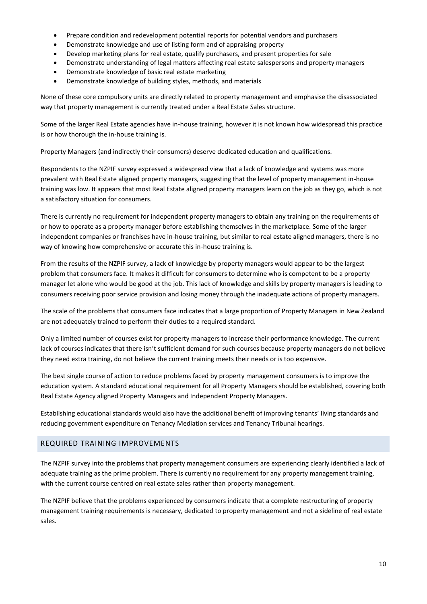- Prepare condition and redevelopment potential reports for potential vendors and purchasers
- Demonstrate knowledge and use of listing form and of appraising property
- Develop marketing plans for real estate, qualify purchasers, and present properties for sale
- Demonstrate understanding of legal matters affecting real estate salespersons and property managers
- Demonstrate knowledge of basic real estate marketing
- Demonstrate knowledge of building styles, methods, and materials

None of these core compulsory units are directly related to property management and emphasise the disassociated way that property management is currently treated under a Real Estate Sales structure.

Some of the larger Real Estate agencies have in-house training, however it is not known how widespread this practice is or how thorough the in-house training is.

Property Managers (and indirectly their consumers) deserve dedicated education and qualifications.

Respondents to the NZPIF survey expressed a widespread view that a lack of knowledge and systems was more prevalent with Real Estate aligned property managers, suggesting that the level of property management in-house training was low. It appears that most Real Estate aligned property managers learn on the job as they go, which is not a satisfactory situation for consumers.

There is currently no requirement for independent property managers to obtain any training on the requirements of or how to operate as a property manager before establishing themselves in the marketplace. Some of the larger independent companies or franchises have in-house training, but similar to real estate aligned managers, there is no way of knowing how comprehensive or accurate this in-house training is.

From the results of the NZPIF survey, a lack of knowledge by property managers would appear to be the largest problem that consumers face. It makes it difficult for consumers to determine who is competent to be a property manager let alone who would be good at the job. This lack of knowledge and skills by property managers is leading to consumers receiving poor service provision and losing money through the inadequate actions of property managers.

The scale of the problems that consumers face indicates that a large proportion of Property Managers in New Zealand are not adequately trained to perform their duties to a required standard.

Only a limited number of courses exist for property managers to increase their performance knowledge. The current lack of courses indicates that there isn't sufficient demand for such courses because property managers do not believe they need extra training, do not believe the current training meets their needs or is too expensive.

The best single course of action to reduce problems faced by property management consumers is to improve the education system. A standard educational requirement for all Property Managers should be established, covering both Real Estate Agency aligned Property Managers and Independent Property Managers.

Establishing educational standards would also have the additional benefit of improving tenants' living standards and reducing government expenditure on Tenancy Mediation services and Tenancy Tribunal hearings.

# <span id="page-9-0"></span>REQUIRED TRAINING IMPROVEMENTS

The NZPIF survey into the problems that property management consumers are experiencing clearly identified a lack of adequate training as the prime problem. There is currently no requirement for any property management training, with the current course centred on real estate sales rather than property management.

The NZPIF believe that the problems experienced by consumers indicate that a complete restructuring of property management training requirements is necessary, dedicated to property management and not a sideline of real estate sales.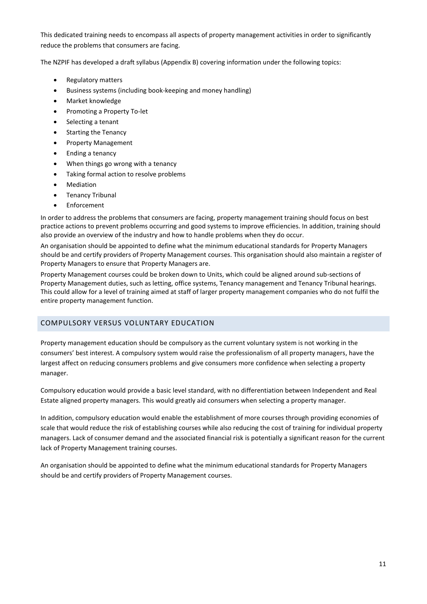This dedicated training needs to encompass all aspects of property management activities in order to significantly reduce the problems that consumers are facing.

The NZPIF has developed a draft syllabus (Appendix B) covering information under the following topics:

- Regulatory matters
- Business systems (including book-keeping and money handling)
- Market knowledge
- Promoting a Property To-let
- Selecting a tenant
- Starting the Tenancy
- Property Management
- Ending a tenancy
- When things go wrong with a tenancy
- Taking formal action to resolve problems
- Mediation
- **•** Tenancy Tribunal
- Enforcement

In order to address the problems that consumers are facing, property management training should focus on best practice actions to prevent problems occurring and good systems to improve efficiencies. In addition, training should also provide an overview of the industry and how to handle problems when they do occur.

An organisation should be appointed to define what the minimum educational standards for Property Managers should be and certify providers of Property Management courses. This organisation should also maintain a register of Property Managers to ensure that Property Managers are.

Property Management courses could be broken down to Units, which could be aligned around sub-sections of Property Management duties, such as letting, office systems, Tenancy management and Tenancy Tribunal hearings. This could allow for a level of training aimed at staff of larger property management companies who do not fulfil the entire property management function.

# <span id="page-10-0"></span>COMPULSORY VERSUS VOLUNTARY EDUCATION

Property management education should be compulsory as the current voluntary system is not working in the consumers' best interest. A compulsory system would raise the professionalism of all property managers, have the largest affect on reducing consumers problems and give consumers more confidence when selecting a property manager.

Compulsory education would provide a basic level standard, with no differentiation between Independent and Real Estate aligned property managers. This would greatly aid consumers when selecting a property manager.

In addition, compulsory education would enable the establishment of more courses through providing economies of scale that would reduce the risk of establishing courses while also reducing the cost of training for individual property managers. Lack of consumer demand and the associated financial risk is potentially a significant reason for the current lack of Property Management training courses.

An organisation should be appointed to define what the minimum educational standards for Property Managers should be and certify providers of Property Management courses.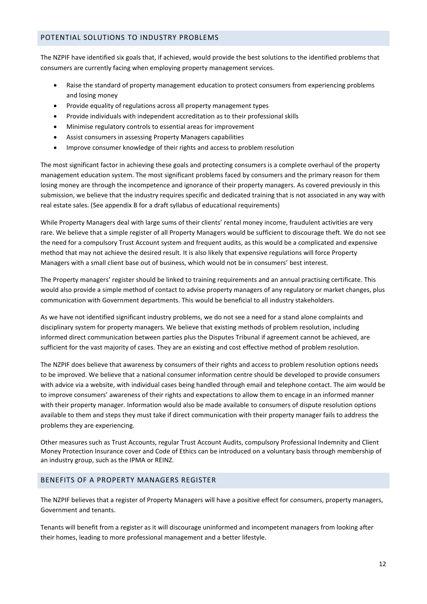# <span id="page-11-0"></span>POTENTIAL SOLUTIONS TO INDUSTRY PROBLEMS

The NZPIF have identified six goals that, if achieved, would provide the best solutions to the identified problems that consumers are currently facing when employing property management services.

- Raise the standard of property management education to protect consumers from experiencing problems and losing money
- Provide equality of regulations across all property management types
- Provide individuals with independent accreditation as to their professional skills
- Minimise regulatory controls to essential areas for improvement
- Assist consumers in assessing Property Managers capabilities
- Improve consumer knowledge of their rights and access to problem resolution

The most significant factor in achieving these goals and protecting consumers is a complete overhaul of the property management education system. The most significant problems faced by consumers and the primary reason for them losing money are through the incompetence and ignorance of their property managers. As covered previously in this submission, we believe that the industry requires specific and dedicated training that is not associated in any way with real estate sales. (See appendix B for a draft syllabus of educational requirements)

While Property Managers deal with large sums of their clients' rental money income, fraudulent activities are very rare. We believe that a simple register of all Property Managers would be sufficient to discourage theft. We do not see the need for a compulsory Trust Account system and frequent audits, as this would be a complicated and expensive method that may not achieve the desired result. It is also likely that expensive regulations will force Property Managers with a small client base out of business, which would not be in consumers' best interest.

The Property managers' register should be linked to training requirements and an annual practising certificate. This would also provide a simple method of contact to advise property managers of any regulatory or market changes, plus communication with Government departments. This would be beneficial to all industry stakeholders.

As we have not identified significant industry problems, we do not see a need for a stand alone complaints and disciplinary system for property managers. We believe that existing methods of problem resolution, including informed direct communication between parties plus the Disputes Tribunal if agreement cannot be achieved, are sufficient for the vast majority of cases. They are an existing and cost effective method of problem resolution.

The NZPIF does believe that awareness by consumers of their rights and access to problem resolution options needs to be improved. We believe that a national consumer information centre should be developed to provide consumers with advice via a website, with individual cases being handled through email and telephone contact. The aim would be to improve consumers' awareness of their rights and expectations to allow them to encage in an informed manner with their property manager. Information would also be made available to consumers of dispute resolution options available to them and steps they must take if direct communication with their property manager fails to address the problems they are experiencing.

Other measures such as Trust Accounts, regular Trust Account Audits, compulsory Professional Indemnity and Client Money Protection Insurance cover and Code of Ethics can be introduced on a voluntary basis through membership of an industry group, such as the IPMA or REINZ.

# <span id="page-11-1"></span>BENEFITS OF A PROPERTY MANAGERS REGISTER

The NZPIF believes that a register of Property Managers will have a positive effect for consumers, property managers, Government and tenants.

Tenants will benefit from a register as it will discourage uninformed and incompetent managers from looking after their homes, leading to more professional management and a better lifestyle.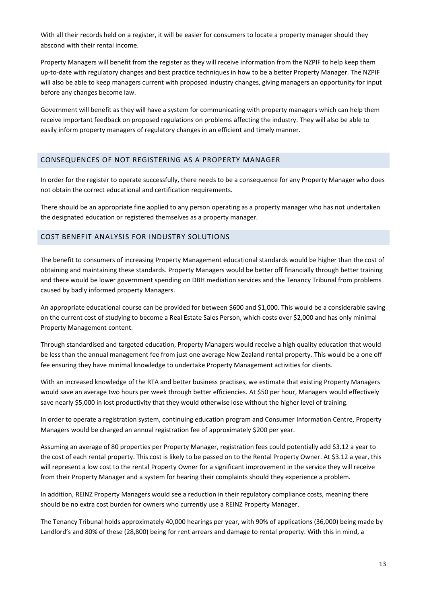With all their records held on a register, it will be easier for consumers to locate a property manager should they abscond with their rental income.

Property Managers will benefit from the register as they will receive information from the NZPIF to help keep them up-to-date with regulatory changes and best practice techniques in how to be a better Property Manager. The NZPIF will also be able to keep managers current with proposed industry changes, giving managers an opportunity for input before any changes become law.

Government will benefit as they will have a system for communicating with property managers which can help them receive important feedback on proposed regulations on problems affecting the industry. They will also be able to easily inform property managers of regulatory changes in an efficient and timely manner.

# <span id="page-12-0"></span>CONSEQUENCES OF NOT REGISTERING AS A PROPERTY MANAGER

In order for the register to operate successfully, there needs to be a consequence for any Property Manager who does not obtain the correct educational and certification requirements.

There should be an appropriate fine applied to any person operating as a property manager who has not undertaken the designated education or registered themselves as a property manager.

#### <span id="page-12-1"></span>COST BENEFIT ANALYSIS FOR INDUSTRY SOLUTIONS

The benefit to consumers of increasing Property Management educational standards would be higher than the cost of obtaining and maintaining these standards. Property Managers would be better off financially through better training and there would be lower government spending on DBH mediation services and the Tenancy Tribunal from problems caused by badly informed property Managers.

An appropriate educational course can be provided for between \$600 and \$1,000. This would be a considerable saving on the current cost of studying to become a Real Estate Sales Person, which costs over \$2,000 and has only minimal Property Management content.

Through standardised and targeted education, Property Managers would receive a high quality education that would be less than the annual management fee from just one average New Zealand rental property. This would be a one off fee ensuring they have minimal knowledge to undertake Property Management activities for clients.

With an increased knowledge of the RTA and better business practises, we estimate that existing Property Managers would save an average two hours per week through better efficiencies. At \$50 per hour, Managers would effectively save nearly \$5,000 in lost productivity that they would otherwise lose without the higher level of training.

In order to operate a registration system, continuing education program and Consumer Information Centre, Property Managers would be charged an annual registration fee of approximately \$200 per year.

Assuming an average of 80 properties per Property Manager, registration fees could potentially add \$3.12 a year to the cost of each rental property. This cost is likely to be passed on to the Rental Property Owner. At \$3.12 a year, this will represent a low cost to the rental Property Owner for a significant improvement in the service they will receive from their Property Manager and a system for hearing their complaints should they experience a problem.

In addition, REINZ Property Managers would see a reduction in their regulatory compliance costs, meaning there should be no extra cost burden for owners who currently use a REINZ Property Manager.

The Tenancy Tribunal holds approximately 40,000 hearings per year, with 90% of applications (36,000) being made by Landlord's and 80% of these (28,800) being for rent arrears and damage to rental property. With this in mind, a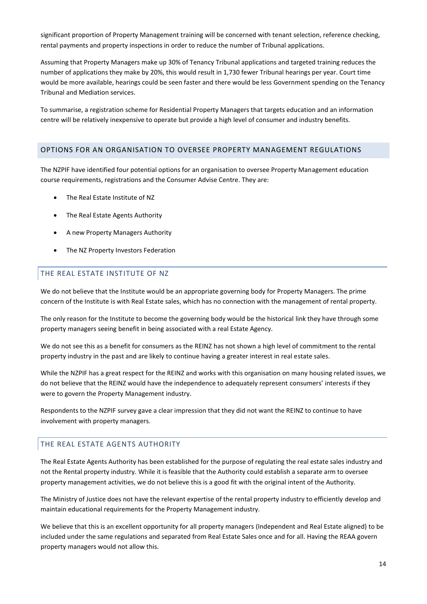significant proportion of Property Management training will be concerned with tenant selection, reference checking, rental payments and property inspections in order to reduce the number of Tribunal applications.

Assuming that Property Managers make up 30% of Tenancy Tribunal applications and targeted training reduces the number of applications they make by 20%, this would result in 1,730 fewer Tribunal hearings per year. Court time would be more available, hearings could be seen faster and there would be less Government spending on the Tenancy Tribunal and Mediation services.

To summarise, a registration scheme for Residential Property Managers that targets education and an information centre will be relatively inexpensive to operate but provide a high level of consumer and industry benefits.

#### <span id="page-13-0"></span>OPTIONS FOR AN ORGANISATION TO OVERSEE PROPERTY MANAGEMENT REGULATIONS

The NZPIF have identified four potential options for an organisation to oversee Property Management education course requirements, registrations and the Consumer Advise Centre. They are:

- The Real Estate Institute of NZ
- The Real Estate Agents Authority
- A new Property Managers Authority
- The NZ Property Investors Federation

#### <span id="page-13-1"></span>THE REAL ESTATE INSTITUTE OF NZ

We do not believe that the Institute would be an appropriate governing body for Property Managers. The prime concern of the Institute is with Real Estate sales, which has no connection with the management of rental property.

The only reason for the Institute to become the governing body would be the historical link they have through some property managers seeing benefit in being associated with a real Estate Agency.

We do not see this as a benefit for consumers as the REINZ has not shown a high level of commitment to the rental property industry in the past and are likely to continue having a greater interest in real estate sales.

While the NZPIF has a great respect for the REINZ and works with this organisation on many housing related issues, we do not believe that the REINZ would have the independence to adequately represent consumers' interests if they were to govern the Property Management industry.

Respondents to the NZPIF survey gave a clear impression that they did not want the REINZ to continue to have involvement with property managers.

#### <span id="page-13-2"></span>THE REAL ESTATE AGENTS AUTHORITY

The Real Estate Agents Authority has been established for the purpose of regulating the real estate sales industry and not the Rental property industry. While it is feasible that the Authority could establish a separate arm to oversee property management activities, we do not believe this is a good fit with the original intent of the Authority.

The Ministry of Justice does not have the relevant expertise of the rental property industry to efficiently develop and maintain educational requirements for the Property Management industry.

We believe that this is an excellent opportunity for all property managers (Independent and Real Estate aligned) to be included under the same regulations and separated from Real Estate Sales once and for all. Having the REAA govern property managers would not allow this.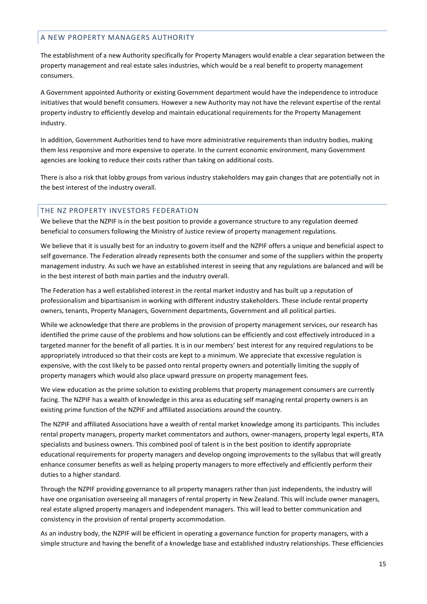# <span id="page-14-0"></span>A NEW PROPERTY MANAGERS AUTHORITY

The establishment of a new Authority specifically for Property Managers would enable a clear separation between the property management and real estate sales industries, which would be a real benefit to property management consumers.

A Government appointed Authority or existing Government department would have the independence to introduce initiatives that would benefit consumers. However a new Authority may not have the relevant expertise of the rental property industry to efficiently develop and maintain educational requirements for the Property Management industry.

In addition, Government Authorities tend to have more administrative requirements than industry bodies, making them less responsive and more expensive to operate. In the current economic environment, many Government agencies are looking to reduce their costs rather than taking on additional costs.

There is also a risk that lobby groups from various industry stakeholders may gain changes that are potentially not in the best interest of the industry overall.

# <span id="page-14-1"></span>THE NZ PROPERTY INVESTORS FEDERATION

We believe that the NZPIF is in the best position to provide a governance structure to any regulation deemed beneficial to consumers following the Ministry of Justice review of property management regulations.

We believe that it is usually best for an industry to govern itself and the NZPIF offers a unique and beneficial aspect to self governance. The Federation already represents both the consumer and some of the suppliers within the property management industry. As such we have an established interest in seeing that any regulations are balanced and will be in the best interest of both main parties and the industry overall.

The Federation has a well established interest in the rental market industry and has built up a reputation of professionalism and bipartisanism in working with different industry stakeholders. These include rental property owners, tenants, Property Managers, Government departments, Government and all political parties.

While we acknowledge that there are problems in the provision of property management services, our research has identified the prime cause of the problems and how solutions can be efficiently and cost effectively introduced in a targeted manner for the benefit of all parties. It is in our members' best interest for any required regulations to be appropriately introduced so that their costs are kept to a minimum. We appreciate that excessive regulation is expensive, with the cost likely to be passed onto rental property owners and potentially limiting the supply of property managers which would also place upward pressure on property management fees.

We view education as the prime solution to existing problems that property management consumers are currently facing. The NZPIF has a wealth of knowledge in this area as educating self managing rental property owners is an existing prime function of the NZPIF and affiliated associations around the country.

The NZPIF and affiliated Associations have a wealth of rental market knowledge among its participants. This includes rental property managers, property market commentators and authors, owner-managers, property legal experts, RTA specialists and business owners. This combined pool of talent is in the best position to identify appropriate educational requirements for property managers and develop ongoing improvements to the syllabus that will greatly enhance consumer benefits as well as helping property managers to more effectively and efficiently perform their duties to a higher standard.

Through the NZPIF providing governance to all property managers rather than just independents, the industry will have one organisation overseeing all managers of rental property in New Zealand. This will include owner managers, real estate aligned property managers and independent managers. This will lead to better communication and consistency in the provision of rental property accommodation.

As an industry body, the NZPIF will be efficient in operating a governance function for property managers, with a simple structure and having the benefit of a knowledge base and established industry relationships. These efficiencies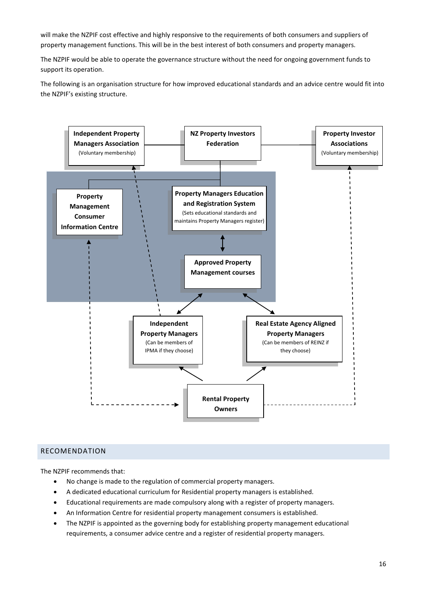will make the NZPIF cost effective and highly responsive to the requirements of both consumers and suppliers of property management functions. This will be in the best interest of both consumers and property managers.

The NZPIF would be able to operate the governance structure without the need for ongoing government funds to support its operation.

The following is an organisation structure for how improved educational standards and an advice centre would fit into the NZPIF's existing structure.



#### <span id="page-15-0"></span>RECOMENDATION

The NZPIF recommends that:

- No change is made to the regulation of commercial property managers.
- A dedicated educational curriculum for Residential property managers is established.
- Educational requirements are made compulsory along with a register of property managers.
- An Information Centre for residential property management consumers is established.
- The NZPIF is appointed as the governing body for establishing property management educational requirements, a consumer advice centre and a register of residential property managers.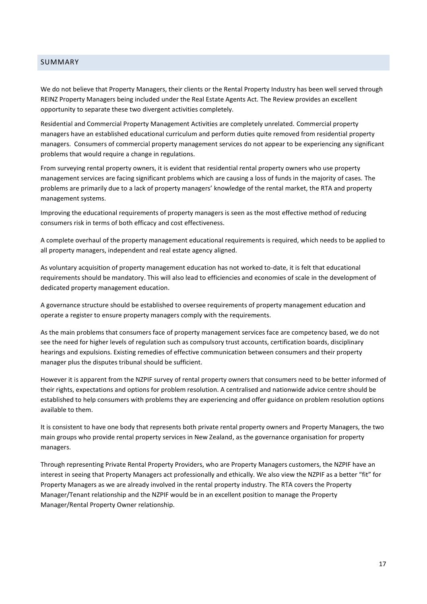### <span id="page-16-0"></span>SUMMARY

We do not believe that Property Managers, their clients or the Rental Property Industry has been well served through REINZ Property Managers being included under the Real Estate Agents Act. The Review provides an excellent opportunity to separate these two divergent activities completely.

Residential and Commercial Property Management Activities are completely unrelated. Commercial property managers have an established educational curriculum and perform duties quite removed from residential property managers. Consumers of commercial property management services do not appear to be experiencing any significant problems that would require a change in regulations.

From surveying rental property owners, it is evident that residential rental property owners who use property management services are facing significant problems which are causing a loss of funds in the majority of cases. The problems are primarily due to a lack of property managers' knowledge of the rental market, the RTA and property management systems.

Improving the educational requirements of property managers is seen as the most effective method of reducing consumers risk in terms of both efficacy and cost effectiveness.

A complete overhaul of the property management educational requirements is required, which needs to be applied to all property managers, independent and real estate agency aligned.

As voluntary acquisition of property management education has not worked to-date, it is felt that educational requirements should be mandatory. This will also lead to efficiencies and economies of scale in the development of dedicated property management education.

A governance structure should be established to oversee requirements of property management education and operate a register to ensure property managers comply with the requirements.

As the main problems that consumers face of property management services face are competency based, we do not see the need for higher levels of regulation such as compulsory trust accounts, certification boards, disciplinary hearings and expulsions. Existing remedies of effective communication between consumers and their property manager plus the disputes tribunal should be sufficient.

However it is apparent from the NZPIF survey of rental property owners that consumers need to be better informed of their rights, expectations and options for problem resolution. A centralised and nationwide advice centre should be established to help consumers with problems they are experiencing and offer guidance on problem resolution options available to them.

It is consistent to have one body that represents both private rental property owners and Property Managers, the two main groups who provide rental property services in New Zealand, as the governance organisation for property managers.

Through representing Private Rental Property Providers, who are Property Managers customers, the NZPIF have an interest in seeing that Property Managers act professionally and ethically. We also view the NZPIF as a better "fit" for Property Managers as we are already involved in the rental property industry. The RTA covers the Property Manager/Tenant relationship and the NZPIF would be in an excellent position to manage the Property Manager/Rental Property Owner relationship.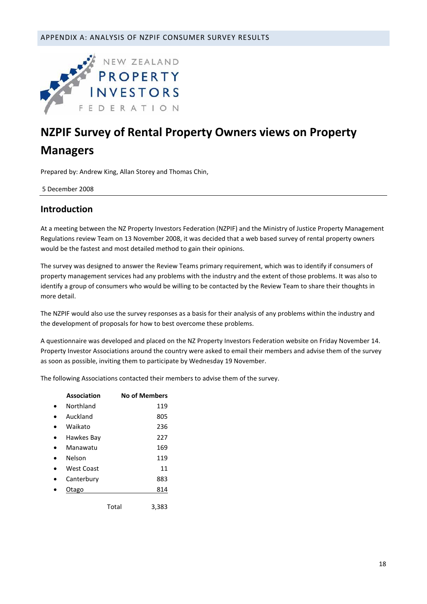<span id="page-17-0"></span>

# **NZPIF Survey of Rental Property Owners views on Property Managers**

Prepared by: Andrew King, Allan Storey and Thomas Chin,

5 December 2008

# **Introduction**

At a meeting between the NZ Property Investors Federation (NZPIF) and the Ministry of Justice Property Management Regulations review Team on 13 November 2008, it was decided that a web based survey of rental property owners would be the fastest and most detailed method to gain their opinions.

The survey was designed to answer the Review Teams primary requirement, which was to identify if consumers of property management services had any problems with the industry and the extent of those problems. It was also to identify a group of consumers who would be willing to be contacted by the Review Team to share their thoughts in more detail.

The NZPIF would also use the survey responses as a basis for their analysis of any problems within the industry and the development of proposals for how to best overcome these problems.

A questionnaire was developed and placed on the NZ Property Investors Federation website on Friday November 14. Property Investor Associations around the country were asked to email their members and advise them of the survey as soon as possible, inviting them to participate by Wednesday 19 November.

The following Associations contacted their members to advise them of the survey.

| Association |       | <b>No of Members</b> |
|-------------|-------|----------------------|
| Northland   |       | 119                  |
| Auckland    |       | 805                  |
| Waikato     |       | 236                  |
| Hawkes Bay  |       | 227                  |
| Manawatu    |       | 169                  |
| Nelson      |       | 119                  |
| West Coast  |       | 11                   |
| Canterbury  |       | 883                  |
| Otago       |       | 814                  |
|             | Total | 3.383                |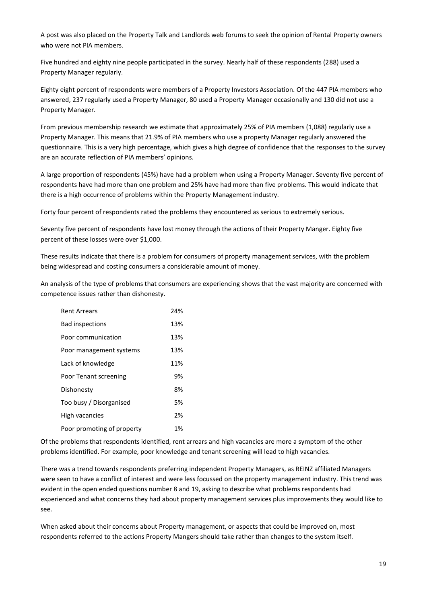A post was also placed on the Property Talk and Landlords web forums to seek the opinion of Rental Property owners who were not PIA members.

Five hundred and eighty nine people participated in the survey. Nearly half of these respondents (288) used a Property Manager regularly.

Eighty eight percent of respondents were members of a Property Investors Association. Of the 447 PIA members who answered, 237 regularly used a Property Manager, 80 used a Property Manager occasionally and 130 did not use a Property Manager.

From previous membership research we estimate that approximately 25% of PIA members (1,088) regularly use a Property Manager. This means that 21.9% of PIA members who use a property Manager regularly answered the questionnaire. This is a very high percentage, which gives a high degree of confidence that the responses to the survey are an accurate reflection of PIA members' opinions.

A large proportion of respondents (45%) have had a problem when using a Property Manager. Seventy five percent of respondents have had more than one problem and 25% have had more than five problems. This would indicate that there is a high occurrence of problems within the Property Management industry.

Forty four percent of respondents rated the problems they encountered as serious to extremely serious.

Seventy five percent of respondents have lost money through the actions of their Property Manger. Eighty five percent of these losses were over \$1,000.

These results indicate that there is a problem for consumers of property management services, with the problem being widespread and costing consumers a considerable amount of money.

An analysis of the type of problems that consumers are experiencing shows that the vast majority are concerned with competence issues rather than dishonesty.

| Rent Arrears               | 24% |
|----------------------------|-----|
| <b>Bad inspections</b>     | 13% |
| Poor communication         | 13% |
| Poor management systems    | 13% |
| Lack of knowledge          | 11% |
| Poor Tenant screening      | 9%  |
| Dishonesty                 | 8%  |
| Too busy / Disorganised    | 5%  |
| High vacancies             | 2%  |
| Poor promoting of property | 1%  |

Of the problems that respondents identified, rent arrears and high vacancies are more a symptom of the other problems identified. For example, poor knowledge and tenant screening will lead to high vacancies.

There was a trend towards respondents preferring independent Property Managers, as REINZ affiliated Managers were seen to have a conflict of interest and were less focussed on the property management industry. This trend was evident in the open ended questions number 8 and 19, asking to describe what problems respondents had experienced and what concerns they had about property management services plus improvements they would like to see.

When asked about their concerns about Property management, or aspects that could be improved on, most respondents referred to the actions Property Mangers should take rather than changes to the system itself.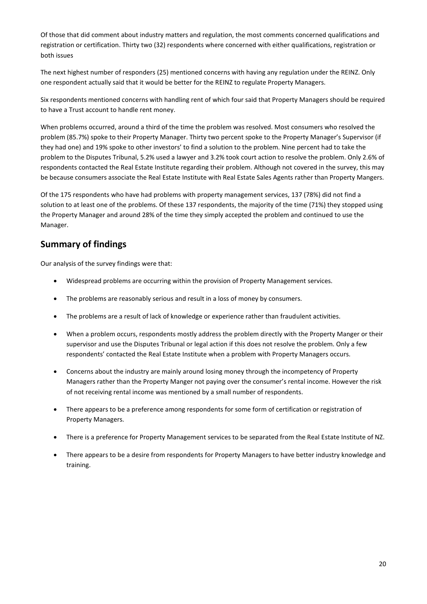Of those that did comment about industry matters and regulation, the most comments concerned qualifications and registration or certification. Thirty two (32) respondents where concerned with either qualifications, registration or both issues

The next highest number of responders (25) mentioned concerns with having any regulation under the REINZ. Only one respondent actually said that it would be better for the REINZ to regulate Property Managers.

Six respondents mentioned concerns with handling rent of which four said that Property Managers should be required to have a Trust account to handle rent money.

When problems occurred, around a third of the time the problem was resolved. Most consumers who resolved the problem (85.7%) spoke to their Property Manager. Thirty two percent spoke to the Property Manager's Supervisor (if they had one) and 19% spoke to other investors' to find a solution to the problem. Nine percent had to take the problem to the Disputes Tribunal, 5.2% used a lawyer and 3.2% took court action to resolve the problem. Only 2.6% of respondents contacted the Real Estate Institute regarding their problem. Although not covered in the survey, this may be because consumers associate the Real Estate Institute with Real Estate Sales Agents rather than Property Mangers.

Of the 175 respondents who have had problems with property management services, 137 (78%) did not find a solution to at least one of the problems. Of these 137 respondents, the majority of the time (71%) they stopped using the Property Manager and around 28% of the time they simply accepted the problem and continued to use the Manager.

# **Summary of findings**

Our analysis of the survey findings were that:

- Widespread problems are occurring within the provision of Property Management services.
- The problems are reasonably serious and result in a loss of money by consumers.
- The problems are a result of lack of knowledge or experience rather than fraudulent activities.
- When a problem occurs, respondents mostly address the problem directly with the Property Manger or their supervisor and use the Disputes Tribunal or legal action if this does not resolve the problem. Only a few respondents' contacted the Real Estate Institute when a problem with Property Managers occurs.
- Concerns about the industry are mainly around losing money through the incompetency of Property Managers rather than the Property Manger not paying over the consumer's rental income. However the risk of not receiving rental income was mentioned by a small number of respondents.
- There appears to be a preference among respondents for some form of certification or registration of Property Managers.
- There is a preference for Property Management services to be separated from the Real Estate Institute of NZ.
- There appears to be a desire from respondents for Property Managers to have better industry knowledge and training.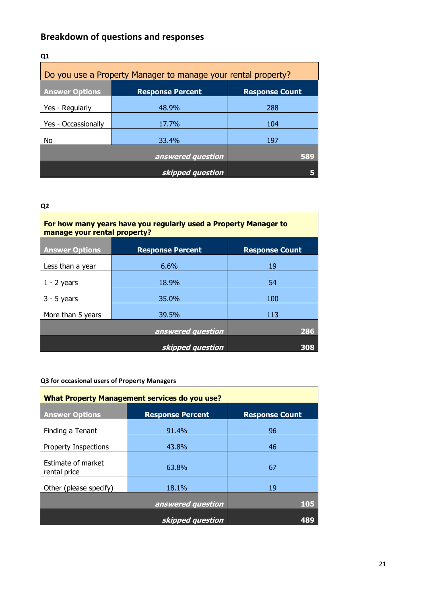# **Breakdown of questions and responses**

| Q <sub>1</sub>                                                |                         |                       |
|---------------------------------------------------------------|-------------------------|-----------------------|
| Do you use a Property Manager to manage your rental property? |                         |                       |
| <b>Answer Options</b>                                         | <b>Response Percent</b> | <b>Response Count</b> |
| Yes - Regularly                                               | 48.9%                   | 288                   |
| Yes - Occassionally                                           | 17.7%                   | 104                   |
| No                                                            | 33.4%                   | 197                   |
|                                                               | answered question       | 589                   |
|                                                               | skipped question        |                       |

# **Q2**

| For how many years have you regularly used a Property Manager to<br>manage your rental property? |                         |                       |
|--------------------------------------------------------------------------------------------------|-------------------------|-----------------------|
| <b>Answer Options</b>                                                                            | <b>Response Percent</b> | <b>Response Count</b> |
| Less than a year                                                                                 | 6.6%                    | 19                    |
| $1 - 2$ years                                                                                    | 18.9%                   | 54                    |
| $3 - 5$ years                                                                                    | 35.0%                   | 100                   |
| More than 5 years                                                                                | 39.5%                   | 113                   |
|                                                                                                  | answered question       | 286                   |
|                                                                                                  | skipped question        | 308                   |

# **Q3 for occasional users of Property Managers**

| <b>What Property Management services do you use?</b> |                         |                       |
|------------------------------------------------------|-------------------------|-----------------------|
| <b>Answer Options</b>                                | <b>Response Percent</b> | <b>Response Count</b> |
| Finding a Tenant                                     | 91.4%                   | 96                    |
| <b>Property Inspections</b>                          | 43.8%                   | 46                    |
| Estimate of market<br>rental price                   | 63.8%                   | 67                    |
| Other (please specify)                               | 18.1%                   | 19                    |
| answered question                                    |                         | 105                   |
|                                                      | skipped question        |                       |

21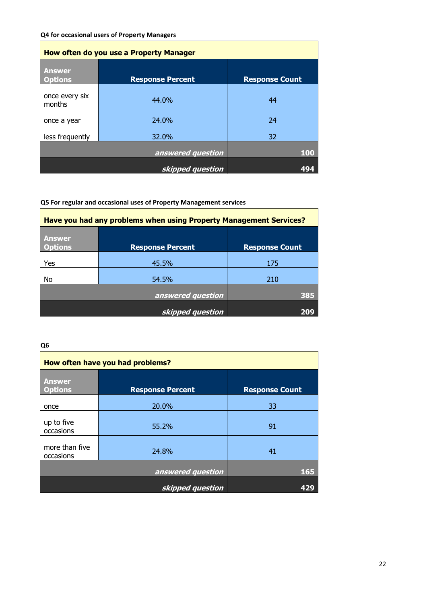#### **Q4 for occasional users of Property Managers**

| How often do you use a Property Manager |                         |                       |
|-----------------------------------------|-------------------------|-----------------------|
| <b>Answer</b><br><b>Options</b>         | <b>Response Percent</b> | <b>Response Count</b> |
| once every six<br>months                | 44.0%                   | 44                    |
| once a year                             | 24.0%                   | 24                    |
| less frequently                         | 32.0%                   | 32                    |
|                                         | answered question       | 100                   |
|                                         | skipped question        | 494                   |

# **Q5 For regular and occasional uses of Property Management services**

| Have you had any problems when using Property Management Services? |                         |                       |
|--------------------------------------------------------------------|-------------------------|-----------------------|
| <b>Answer</b><br><b>Options</b>                                    | <b>Response Percent</b> | <b>Response Count</b> |
| Yes                                                                | 45.5%                   | 175                   |
| No                                                                 | 54.5%                   | 210                   |
|                                                                    | answered question       | 385                   |
|                                                                    | skipped question        |                       |

| How often have you had problems? |                         |                       |
|----------------------------------|-------------------------|-----------------------|
| <b>Answer</b><br><b>Options</b>  | <b>Response Percent</b> | <b>Response Count</b> |
| once                             | 20.0%                   | 33                    |
| up to five<br>occasions          | 55.2%                   | 91                    |
| more than five<br>occasions      | 24.8%                   | 41                    |
|                                  | answered question       | 165                   |
|                                  | skipped question        | 429                   |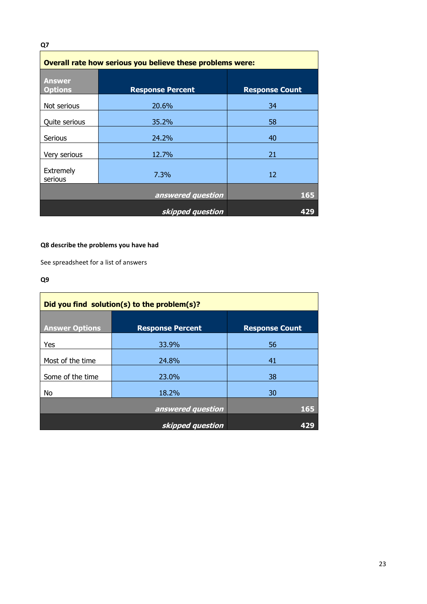| Q7                                                        |                         |                       |
|-----------------------------------------------------------|-------------------------|-----------------------|
| Overall rate how serious you believe these problems were: |                         |                       |
| <b>Answer</b><br><b>Options</b>                           | <b>Response Percent</b> | <b>Response Count</b> |
| Not serious                                               | 20.6%                   | 34                    |
| Quite serious                                             | 35.2%                   | 58                    |
| Serious                                                   | 24.2%                   | 40                    |
| Very serious                                              | 12.7%                   | 21                    |
| Extremely<br>serious                                      | 7.3%                    | 12                    |
| 165<br>answered question                                  |                         |                       |
|                                                           | skipped question        | 429                   |

# **Q8 describe the problems you have had**

See spreadsheet for a list of answers

# **Q9**

| Did you find solution(s) to the problem(s)? |                         |                       |
|---------------------------------------------|-------------------------|-----------------------|
| <b>Answer Options</b>                       | <b>Response Percent</b> | <b>Response Count</b> |
| Yes                                         | 33.9%                   | 56                    |
| Most of the time                            | 24.8%                   | 41                    |
| Some of the time                            | 23.0%                   | 38                    |
| No                                          | 18.2%                   | 30                    |
| answered question                           |                         | 165                   |
|                                             | skipped question        |                       |

23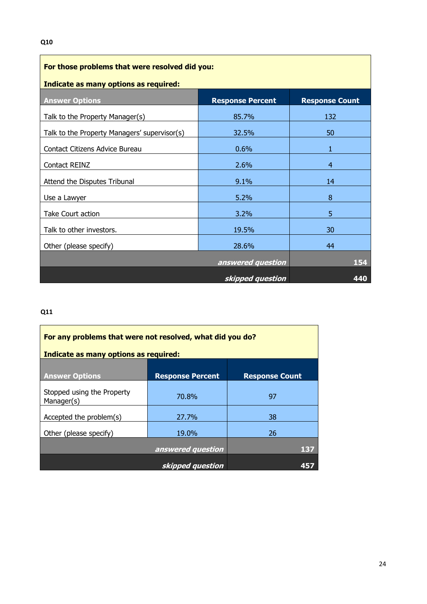| For those problems that were resolved did you: |                         |                       |
|------------------------------------------------|-------------------------|-----------------------|
| Indicate as many options as required:          |                         |                       |
| <b>Answer Options</b>                          | <b>Response Percent</b> | <b>Response Count</b> |
| Talk to the Property Manager(s)                | 85.7%                   | 132                   |
| Talk to the Property Managers' supervisor(s)   | 32.5%                   | 50                    |
| Contact Citizens Advice Bureau                 | 0.6%                    | 1                     |
| Contact REINZ                                  | 2.6%                    | $\overline{4}$        |
| Attend the Disputes Tribunal                   | 9.1%                    | 14                    |
| Use a Lawyer                                   | 5.2%                    | 8                     |
| Take Court action                              | 3.2%                    | 5                     |
| Talk to other investors.                       | 19.5%                   | 30                    |
| Other (please specify)                         | 28.6%                   | 44                    |
| answered question                              |                         | 154                   |
| skipped question<br>440                        |                         |                       |

# **Q11**

| For any problems that were not resolved, what did you do? |                         |                       |
|-----------------------------------------------------------|-------------------------|-----------------------|
| Indicate as many options as required:                     |                         |                       |
| <b>Answer Options</b>                                     | <b>Response Percent</b> | <b>Response Count</b> |
| Stopped using the Property<br>Manager(s)                  | 70.8%                   | 97                    |
| Accepted the problem(s)                                   | 27.7%                   | 38                    |
| Other (please specify)                                    | 19.0%                   | 26                    |
|                                                           | answered question       | 137                   |
|                                                           | skipped question        |                       |

j.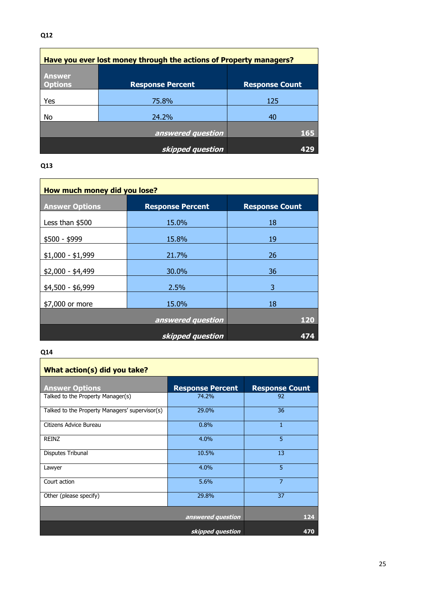| Have you ever lost money through the actions of Property managers? |                         |                       |
|--------------------------------------------------------------------|-------------------------|-----------------------|
| <b>Answer</b><br><b>Options</b>                                    | <b>Response Percent</b> | <b>Response Count</b> |
| Yes                                                                | 75.8%                   | 125                   |
| No                                                                 | 24.2%                   | 40                    |
|                                                                    | answered question       | 165                   |
|                                                                    | skipped question        | 429                   |

# **Q13**

| How much money did you lose? |                         |                       |
|------------------------------|-------------------------|-----------------------|
| <b>Answer Options</b>        | <b>Response Percent</b> | <b>Response Count</b> |
| Less than \$500              | 15.0%                   | 18                    |
| \$500 - \$999                | 15.8%                   | 19                    |
| $$1,000 - $1,999$            | 21.7%                   | 26                    |
| $$2,000 - $4,499$            | 30.0%                   | 36                    |
| \$4,500 - \$6,999            | 2.5%                    | 3                     |
| \$7,000 or more              | 15.0%                   | 18                    |
| answered question<br>120     |                         |                       |
|                              | skipped question        | 474                   |

# **Q14**

| What action(s) did you take?                   |                         |                       |
|------------------------------------------------|-------------------------|-----------------------|
| <b>Answer Options</b>                          | <b>Response Percent</b> | <b>Response Count</b> |
| Talked to the Property Manager(s)              | 74.2%                   | 92                    |
| Talked to the Property Managers' supervisor(s) | 29.0%                   | 36                    |
| Citizens Advice Bureau                         | 0.8%                    | 1                     |
| REINZ                                          | 4.0%                    | 5                     |
| Disputes Tribunal                              | 10.5%                   | 13                    |
| Lawyer                                         | 4.0%                    | 5                     |
| Court action                                   | 5.6%                    | $\overline{7}$        |
| Other (please specify)                         | 29.8%                   | 37                    |
|                                                | answered question       | 124                   |
|                                                | skipped question        | 470                   |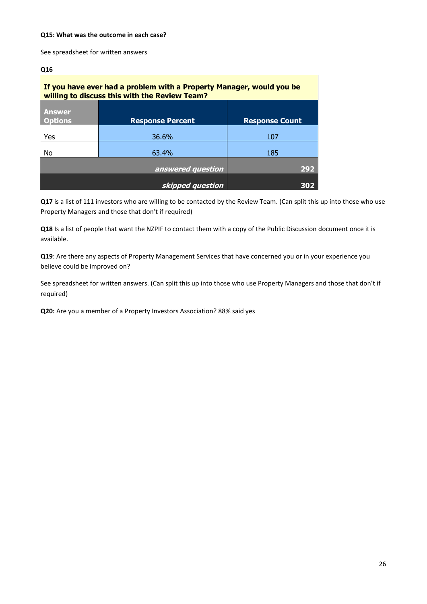#### **Q15: What was the outcome in each case?**

See spreadsheet for written answers

#### **Q16**

| If you have ever had a problem with a Property Manager, would you be<br>willing to discuss this with the Review Team? |                         |                       |
|-----------------------------------------------------------------------------------------------------------------------|-------------------------|-----------------------|
| <b>Answer</b><br><b>Options</b>                                                                                       | <b>Response Percent</b> | <b>Response Count</b> |
| Yes                                                                                                                   | 36.6%                   | 107                   |
| No                                                                                                                    | 63.4%                   | 185                   |
|                                                                                                                       | answered question       | 292                   |
|                                                                                                                       | skipped question        | 302                   |

Q17 is a list of 111 investors who are willing to be contacted by the Review Team. (Can split this up into those who use Property Managers and those that don't if required)

**Q18** Is a list of people that want the NZPIF to contact them with a copy of the Public Discussion document once it is available.

**Q19**: Are there any aspects of Property Management Services that have concerned you or in your experience you believe could be improved on?

See spreadsheet for written answers. (Can split this up into those who use Property Managers and those that don't if required)

**Q20:** Are you a member of a Property Investors Association? 88% said yes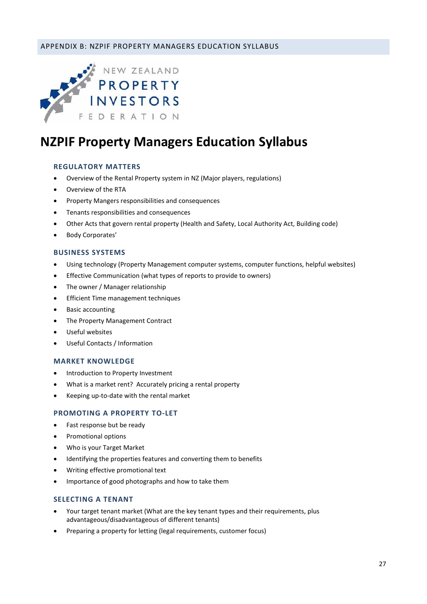# <span id="page-26-0"></span>APPENDIX B: NZPIF PROPERTY MANAGERS EDUCATION SYLLABUS



# **NZPIF Property Managers Education Syllabus**

#### **REGULATORY MATTERS**

- Overview of the Rental Property system in NZ (Major players, regulations)
- Overview of the RTA
- Property Mangers responsibilities and consequences
- Tenants responsibilities and consequences
- Other Acts that govern rental property (Health and Safety, Local Authority Act, Building code)
- Body Corporates'

#### **BUSINESS SYSTEMS**

- Using technology (Property Management computer systems, computer functions, helpful websites)
- Effective Communication (what types of reports to provide to owners)
- The owner / Manager relationship
- **•** Efficient Time management techniques
- Basic accounting
- The Property Management Contract
- Useful websites
- Useful Contacts / Information

#### **MARKET KNOWLEDGE**

- Introduction to Property Investment
- What is a market rent? Accurately pricing a rental property
- Keeping up-to-date with the rental market

#### **PROMOTING A PROPERTY TO-LET**

- Fast response but be ready
- Promotional options
- Who is your Target Market
- Identifying the properties features and converting them to benefits
- Writing effective promotional text
- Importance of good photographs and how to take them

#### **SELECTING A TENANT**

- Your target tenant market (What are the key tenant types and their requirements, plus advantageous/disadvantageous of different tenants)
- Preparing a property for letting (legal requirements, customer focus)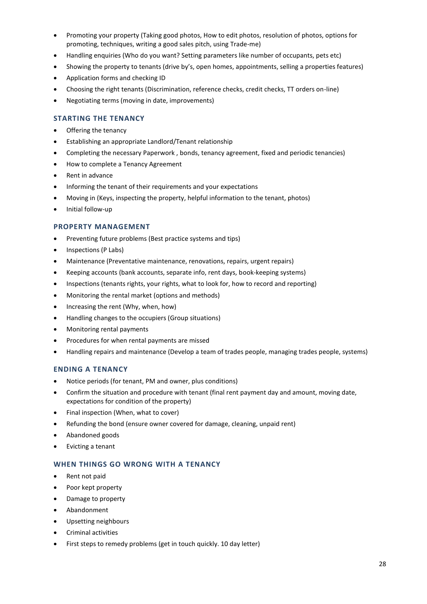- Promoting your property (Taking good photos, How to edit photos, resolution of photos, options for promoting, techniques, writing a good sales pitch, using Trade-me)
- Handling enquiries (Who do you want? Setting parameters like number of occupants, pets etc)
- Showing the property to tenants (drive by's, open homes, appointments, selling a properties features)
- Application forms and checking ID
- Choosing the right tenants (Discrimination, reference checks, credit checks, TT orders on-line)
- Negotiating terms (moving in date, improvements)

### **STARTING THE TENANCY**

- Offering the tenancy
- Establishing an appropriate Landlord/Tenant relationship
- Completing the necessary Paperwork , bonds, tenancy agreement, fixed and periodic tenancies)
- How to complete a Tenancy Agreement
- Rent in advance
- Informing the tenant of their requirements and your expectations
- Moving in (Keys, inspecting the property, helpful information to the tenant, photos)
- Initial follow-up

#### **PROPERTY MANAGEMENT**

- Preventing future problems (Best practice systems and tips)
- Inspections (P Labs)
- Maintenance (Preventative maintenance, renovations, repairs, urgent repairs)
- Keeping accounts (bank accounts, separate info, rent days, book-keeping systems)
- Inspections (tenants rights, your rights, what to look for, how to record and reporting)
- Monitoring the rental market (options and methods)
- Increasing the rent (Why, when, how)
- Handling changes to the occupiers (Group situations)
- Monitoring rental payments
- Procedures for when rental payments are missed
- Handling repairs and maintenance (Develop a team of trades people, managing trades people, systems)

# **ENDING A TENANCY**

- Notice periods (for tenant, PM and owner, plus conditions)
- Confirm the situation and procedure with tenant (final rent payment day and amount, moving date, expectations for condition of the property)
- Final inspection (When, what to cover)
- Refunding the bond (ensure owner covered for damage, cleaning, unpaid rent)
- Abandoned goods
- Evicting a tenant

# **WHEN THINGS GO WRONG WITH A TENANCY**

- Rent not paid
- Poor kept property
- Damage to property
- Abandonment
- Upsetting neighbours
- **•** Criminal activities
- First steps to remedy problems (get in touch quickly. 10 day letter)